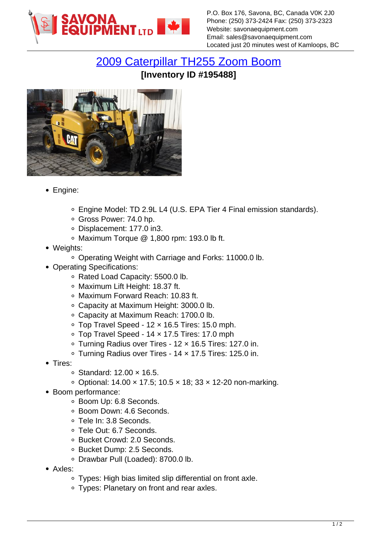

[2009 Caterpillar TH255 Zoom Boom](https://www.savonaequipment.com/en/2009-caterpillar-th255-zoom-boom-p195488) **[Inventory ID #195488]**



- Engine:
	- Engine Model: TD 2.9L L4 (U.S. EPA Tier 4 Final emission standards).
	- Gross Power: 74.0 hp.
	- Displacement: 177.0 in3.
	- Maximum Torque @ 1,800 rpm: 193.0 lb ft.
- Weights:
	- Operating Weight with Carriage and Forks: 11000.0 lb.
- Operating Specifications:
	- Rated Load Capacity: 5500.0 lb.
	- Maximum Lift Height: 18.37 ft.
	- Maximum Forward Reach: 10.83 ft.
	- Capacity at Maximum Height: 3000.0 lb.
	- Capacity at Maximum Reach: 1700.0 lb.
	- Top Travel Speed 12 × 16.5 Tires: 15.0 mph.
	- Top Travel Speed 14 × 17.5 Tires: 17.0 mph
	- Turning Radius over Tires 12 × 16.5 Tires: 127.0 in.
	- Turning Radius over Tires 14 × 17.5 Tires: 125.0 in.
- Tires:
	- Standard: 12.00 × 16.5.
	- Optional: 14.00 × 17.5; 10.5 × 18; 33 × 12-20 non-marking.
- Boom performance:
	- Boom Up: 6.8 Seconds.
	- Boom Down: 4.6 Seconds.
	- Tele In: 3.8 Seconds.
	- Tele Out: 6.7 Seconds.
	- Bucket Crowd: 2.0 Seconds.
	- Bucket Dump: 2.5 Seconds.
	- Drawbar Pull (Loaded): 8700.0 lb.
- Axles:
	- Types: High bias limited slip differential on front axle.
	- Types: Planetary on front and rear axles.